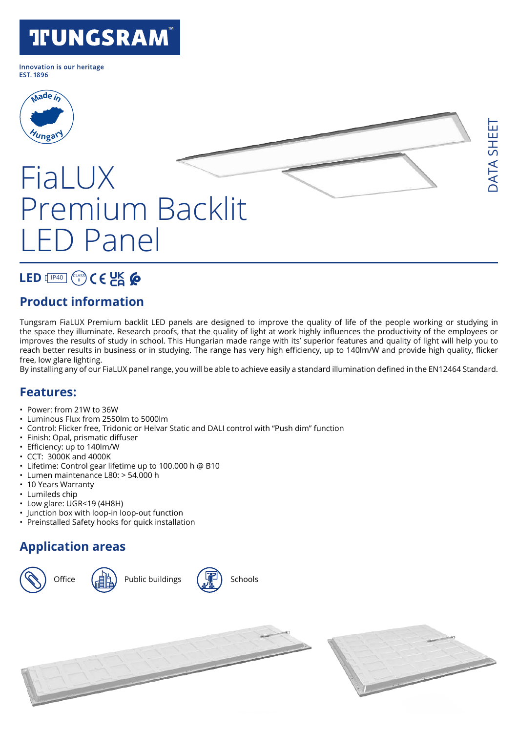## **TFUNGSRAM®**

Innovation is our heritage **FST 1896** 



# FiaLUX Premium Backlit LED Panel

### LED **[**IP40] (CLASS

#### **Product information**

Tungsram FiaLUX Premium backlit LED panels are designed to improve the quality of life of the people working or studying in the space they illuminate. Research proofs, that the quality of light at work highly influences the productivity of the employees or improves the results of study in school. This Hungarian made range with its' superior features and quality of light will help you to reach better results in business or in studying. The range has very high efficiency, up to 140lm/W and provide high quality, flicker free, low glare lighting.

By installing any of our FiaLUX panel range, you will be able to achieve easily a standard illumination defined in the EN12464 Standard.

#### **Features:**

- Power: from 21W to 36W
- Luminous Flux from 2550lm to 5000lm
- Control: Flicker free, Tridonic or Helvar Static and DALI control with "Push dim" function
- Finish: Opal, prismatic diffuser
- Efficiency: up to 140lm/W
- CCT: 3000K and 4000K
- Lifetime: Control gear lifetime up to 100.000 h @ B10
- Lumen maintenance L80: > 54.000 h
- 10 Years Warranty
- Lumileds chip
- Low glare: UGR<19 (4H8H)
- Junction box with loop-in loop-out function
- Preinstalled Safety hooks for quick installation

#### **Application areas**



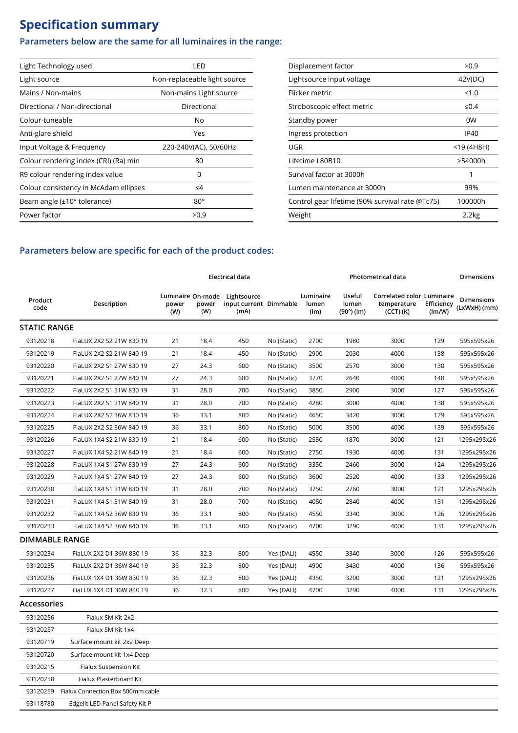### **Specification summary**

93120259 Fialux Connection Box 500mm cable 93118780 Edgelit LED Panel Safety Kit P

#### **Parameters below are the same for all luminaires in the range:**

| Light Technology used                 | LED                          |
|---------------------------------------|------------------------------|
| Light source                          | Non-replaceable light source |
| Mains / Non-mains                     | Non-mains Light source       |
| Directional / Non-directional         | Directional                  |
| Colour-tuneable                       | No                           |
| Anti-glare shield                     | Yes                          |
| Input Voltage & Frequency             | 220-240V(AC), 50/60Hz        |
| Colour rendering index (CRI) (Ra) min | 80                           |
| R9 colour rendering index value       | O                            |
| Colour consistency in McAdam ellipses | ≤4                           |
| Beam angle (±10° tolerance)           | $80^\circ$                   |
| Power factor                          | >0.9                         |

| Displacement factor                             | >0.9       |
|-------------------------------------------------|------------|
| Lightsource input voltage                       | 42V(DC)    |
| Flicker metric                                  | ≤1.0       |
| Stroboscopic effect metric                      | $\leq 0.4$ |
| Standby power                                   | 0W         |
| Ingress protection                              | IP40       |
| UGR                                             | <19 (4H8H) |
| Lifetime L80B10                                 | >54000h    |
| Survival factor at 3000h                        | 1          |
| Lumen maintenance at 3000h                      | 99%        |
| Control gear lifetime (90% survival rate @Tc75) | 100000h    |
| Weight                                          | 2.2kg      |

#### **Parameters below are specific for each of the product codes:**

|                       |                            |              |              | Electrical data                                                 |             | Photometrical data         | Dimensions                           |                                                            |                      |                            |
|-----------------------|----------------------------|--------------|--------------|-----------------------------------------------------------------|-------------|----------------------------|--------------------------------------|------------------------------------------------------------|----------------------|----------------------------|
| Product<br>code       | Description                | power<br>(W) | power<br>(W) | Luminaire On-mode Lightsource<br>input current Dimmable<br>(mA) |             | Luminaire<br>lumen<br>(lm) | Useful<br>lumen<br>$(90^\circ)$ (lm) | Correlated color Luminaire<br>temperature<br>$(CCT)$ $(K)$ | Efficiency<br>(lm/W) | Dimensions<br>(LxWxH) (mm) |
| <b>STATIC RANGE</b>   |                            |              |              |                                                                 |             |                            |                                      |                                                            |                      |                            |
| 93120218              | FiaLUX 2X2 S2 21W 830 19   | 21           | 18.4         | 450                                                             | No (Static) | 2700                       | 1980                                 | 3000                                                       | 129                  | 595x595x26                 |
| 93120219              | FiaLUX 2X2 S2 21W 840 19   | 21           | 18.4         | 450                                                             | No (Static) | 2900                       | 2030                                 | 4000                                                       | 138                  | 595x595x26                 |
| 93120220              | FiaLUX 2X2 S1 27W 830 19   | 27           | 24.3         | 600                                                             | No (Static) | 3500                       | 2570                                 | 3000                                                       | 130                  | 595x595x26                 |
| 93120221              | FiaLUX 2X2 S1 27W 840 19   | 27           | 24.3         | 600                                                             | No (Static) | 3770                       | 2640                                 | 4000                                                       | 140                  | 595x595x26                 |
| 93120222              | FiaLUX 2X2 S1 31W 830 19   | 31           | 28.0         | 700                                                             | No (Static) | 3850                       | 2900                                 | 3000                                                       | 127                  | 595x595x26                 |
| 93120223              | FiaLUX 2X2 S1 31W 840 19   | 31           | 28.0         | 700                                                             | No (Static) | 4280                       | 3000                                 | 4000                                                       | 138                  | 595x595x26                 |
| 93120224              | FiaLUX 2X2 S2 36W 830 19   | 36           | 33.1         | 800                                                             | No (Static) | 4650                       | 3420                                 | 3000                                                       | 129                  | 595x595x26                 |
| 93120225              | FiaLUX 2X2 S2 36W 840 19   | 36           | 33.1         | 800                                                             | No (Static) | 5000                       | 3500                                 | 4000                                                       | 139                  | 595x595x26                 |
| 93120226              | FiaLUX 1X4 S2 21W 830 19   | 21           | 18.4         | 600                                                             | No (Static) | 2550                       | 1870                                 | 3000                                                       | 121                  | 1295x295x26                |
| 93120227              | FiaLUX 1X4 S2 21W 840 19   | 21           | 18.4         | 600                                                             | No (Static) | 2750                       | 1930                                 | 4000                                                       | 131                  | 1295x295x26                |
| 93120228              | FiaLUX 1X4 S1 27W 830 19   | 27           | 24.3         | 600                                                             | No (Static) | 3350                       | 2460                                 | 3000                                                       | 124                  | 1295x295x26                |
| 93120229              | FiaLUX 1X4 S1 27W 840 19   | 27           | 24.3         | 600                                                             | No (Static) | 3600                       | 2520                                 | 4000                                                       | 133                  | 1295x295x26                |
| 93120230              | FiaLUX 1X4 S1 31W 830 19   | 31           | 28.0         | 700                                                             | No (Static) | 3750                       | 2760                                 | 3000                                                       | 121                  | 1295x295x26                |
| 93120231              | FiaLUX 1X4 S1 31W 840 19   | 31           | 28.0         | 700                                                             | No (Static) | 4050                       | 2840                                 | 4000                                                       | 131                  | 1295x295x26                |
| 93120232              | FiaLUX 1X4 S2 36W 830 19   | 36           | 33.1         | 800                                                             | No (Static) | 4550                       | 3340                                 | 3000                                                       | 126                  | 1295x295x26                |
| 93120233              | FiaLUX 1X4 S2 36W 840 19   | 36           | 33.1         | 800                                                             | No (Static) | 4700                       | 3290                                 | 4000                                                       | 131                  | 1295x295x26                |
| <b>DIMMABLE RANGE</b> |                            |              |              |                                                                 |             |                            |                                      |                                                            |                      |                            |
| 93120234              | FiaLUX 2X2 D1 36W 830 19   | 36           | 32.3         | 800                                                             | Yes (DALI)  | 4550                       | 3340                                 | 3000                                                       | 126                  | 595x595x26                 |
| 93120235              | FiaLUX 2X2 D1 36W 840 19   | 36           | 32.3         | 800                                                             | Yes (DALI)  | 4900                       | 3430                                 | 4000                                                       | 136                  | 595x595x26                 |
| 93120236              | FiaLUX 1X4 D1 36W 830 19   | 36           | 32.3         | 800                                                             | Yes (DALI)  | 4350                       | 3200                                 | 3000                                                       | 121                  | 1295x295x26                |
| 93120237              | FiaLUX 1X4 D1 36W 840 19   | 36           | 32.3         | 800                                                             | Yes (DALI)  | 4700                       | 3290                                 | 4000                                                       | 131                  | 1295x295x26                |
| <b>Accessories</b>    |                            |              |              |                                                                 |             |                            |                                      |                                                            |                      |                            |
| 93120256              | Fialux SM Kit 2x2          |              |              |                                                                 |             |                            |                                      |                                                            |                      |                            |
| 93120257              | Fialux SM Kit 1x4          |              |              |                                                                 |             |                            |                                      |                                                            |                      |                            |
| 93120719              | Surface mount kit 2x2 Deep |              |              |                                                                 |             |                            |                                      |                                                            |                      |                            |
| 93120720              | Surface mount kit 1x4 Deep |              |              |                                                                 |             |                            |                                      |                                                            |                      |                            |
| 93120215              | Fialux Suspension Kit      |              |              |                                                                 |             |                            |                                      |                                                            |                      |                            |
| 93120258              | Fialux Plasterboard Kit    |              |              |                                                                 |             |                            |                                      |                                                            |                      |                            |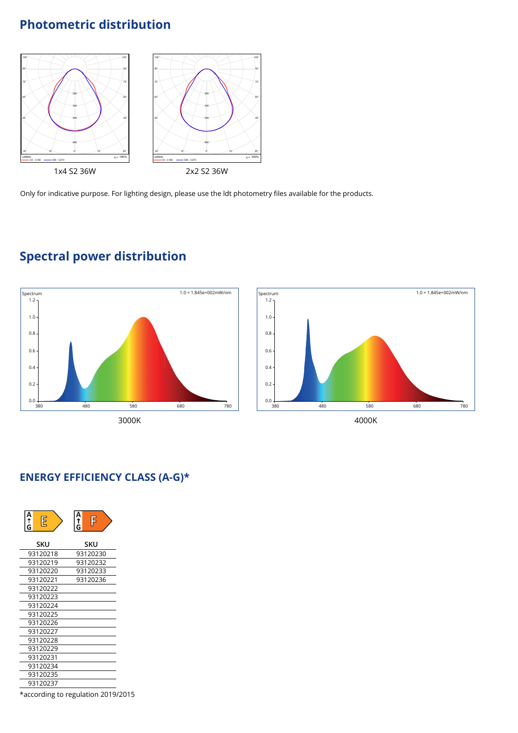#### Photometric distribution  $\mathop{\sf ion}$



Only for indicative purpose. For lighting design, please use the ldt photometry files available for the products.



### **Spectral power distribution**



#### **ENERGY EFFICIENCY CLASS (A-G)\***

| A<br>f<br>G<br>E | А<br>F<br>↑<br>G |
|------------------|------------------|
| SKU              | SKU              |
| 93120218         | 93120230         |
| 93120219         | 93120232         |
| 93120220         | 93120233         |
| 93120221         | 93120236         |
| 93120222         |                  |
| 93120223         |                  |
| 93120224         |                  |
| 93120225         |                  |
| 93120226         |                  |
| 93120227         |                  |
| 93120228         |                  |
| 93120229         |                  |
| 93120231         |                  |
| 93120234         |                  |
| 93120235         |                  |
| 93120237         |                  |
|                  |                  |

\*according to regulation 2019/2015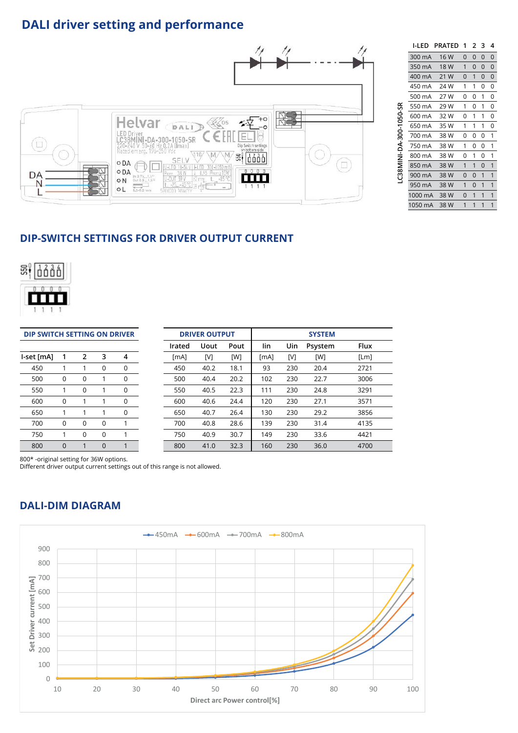#### **DALI driver setting and performance**



|                         | I-I FD  | <b>PRATED</b> | 1        | 2              | з        | 4 |
|-------------------------|---------|---------------|----------|----------------|----------|---|
|                         | 300 mA  | 16 W          | $\Omega$ | $\overline{0}$ | $\Omega$ | 0 |
|                         | 350 mA  | 18 W          | 1        | $\overline{0}$ | $\Omega$ | 0 |
|                         | 400 mA  | 21 W          | $\Omega$ | 1              | 0        | 0 |
|                         | 450 mA  | 24 W          | 1        | 1              | 0        | 0 |
|                         | 500 mA  | 27 W          | 0        | 0              | 1        | 0 |
|                         | 550 mA  | 29 W          | 1        | 0              | 1        | 0 |
| LC38MINI-DA-300-1050-SR | 600 mA  | 32 W          | 0        | 1              | 1        | 0 |
|                         | 650 mA  | 35 W          | 1        | 1              | 1        | 0 |
|                         | 700 mA  | 38 W          | 0        | 0              | 0        | 1 |
|                         | 750 mA  | 38 W          | 1        | 0              | 0        | 1 |
|                         | 800 mA  | 38 W          | 0        | 1              | 0        | 1 |
|                         | 850 mA  | 38 W          | 1        | 1              | $\Omega$ | 1 |
|                         | 900 mA  | 38 W          | $\Omega$ | $\Omega$       | 1        | 1 |
|                         | 950 mA  | 38 W          | 1        | $\Omega$       | 1        | 1 |
|                         | 1000 mA | 38 W          | $\Omega$ | 1              | 1        | 1 |
|                         | 1050 mA | 38 W          | 1        | 1              | 1        | 1 |

#### **DIP-SWITCH SETTINGS FOR DRIVER OUTPUT CURRENT**



| DIP SWITCH SETTING ON DRIVER |                |          |             |             | <b>DRIVER OUTPUT</b> |        |             | <b>SYSTEM</b> |      |     |         |             |
|------------------------------|----------------|----------|-------------|-------------|----------------------|--------|-------------|---------------|------|-----|---------|-------------|
|                              |                |          |             |             |                      | Irated | <b>Uout</b> | Pout          | lin  | Uin | Psystem | <b>Flux</b> |
| -set [mA]                    | 1              | 2        | 3           | 4           |                      | [MA]   | [V]         | [W]           | [MA] | [V] | [W]     | [Lm]        |
| 450                          |                |          | $\Omega$    | $\mathbf 0$ |                      | 450    | 40.2        | 18.1          | 93   | 230 | 20.4    | 2721        |
| 500                          | $\mathbf 0$    | 0        |             | 0           |                      | 500    | 40.4        | 20.2          | 102  | 230 | 22.7    | 3006        |
| 550                          |                | $\Omega$ |             | 0           |                      | 550    | 40.5        | 22.3          | 111  | 230 | 24.8    | 3291        |
| 600                          | 0              | 1        |             | $\mathbf 0$ |                      | 600    | 40.6        | 24.4          | 120  | 230 | 27.1    | 3571        |
| 650                          |                | 1        |             | $\mathbf 0$ |                      | 650    | 40.7        | 26.4          | 130  | 230 | 29.2    | 3856        |
| 700                          | 0              | 0        | $\mathbf 0$ | 1           |                      | 700    | 40.8        | 28.6          | 139  | 230 | 31.4    | 4135        |
| 750                          |                | $\Omega$ | $\Omega$    | 1           |                      | 750    | 40.9        | 30.7          | 149  | 230 | 33.6    | 4421        |
| 800                          | $\overline{0}$ | 1        | $\mathbf 0$ | 1           |                      | 800    | 41.0        | 32.3          | 160  | 230 | 36.0    | 4700        |

800\* -original setting for 36W options.

Different driver output current settings out of this range is not allowed.

#### **DALI-DIM DIAGRAM**

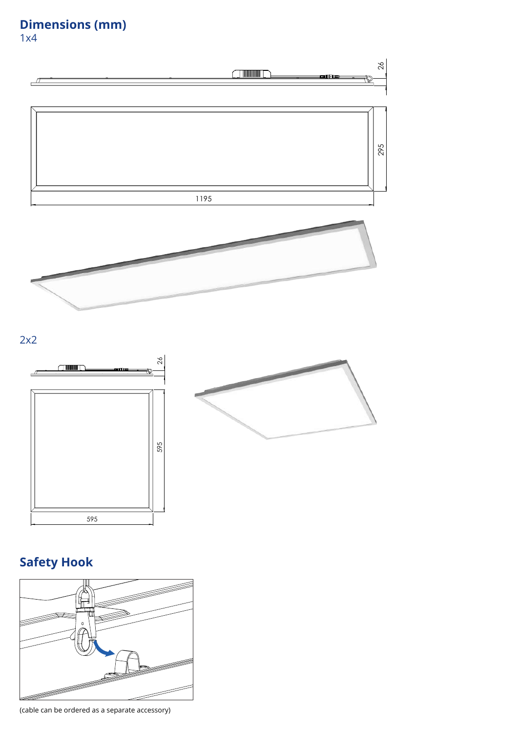### **Dimensions (mm)**

1x4





### **Safety Hook Safety Hook**



**(cable can be ordered as a separate accessory)** (cable can be ordered as a separate accessory)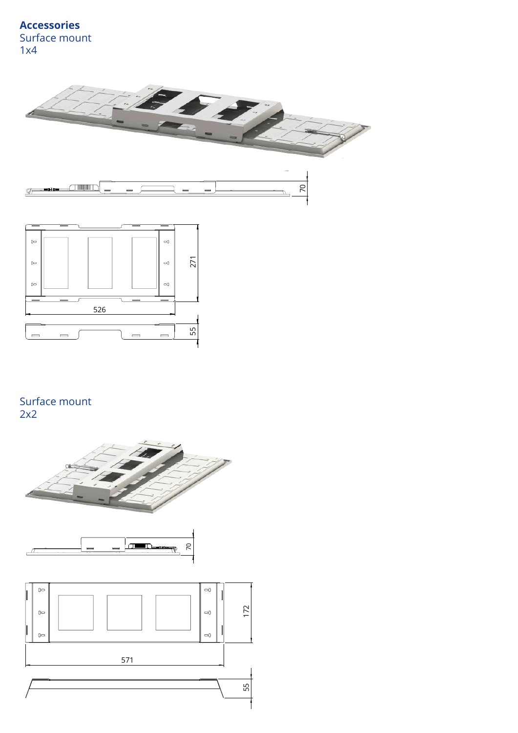



#### Surface mount 2x2  $\mathcal{L}$  and  $\mathcal{L}$

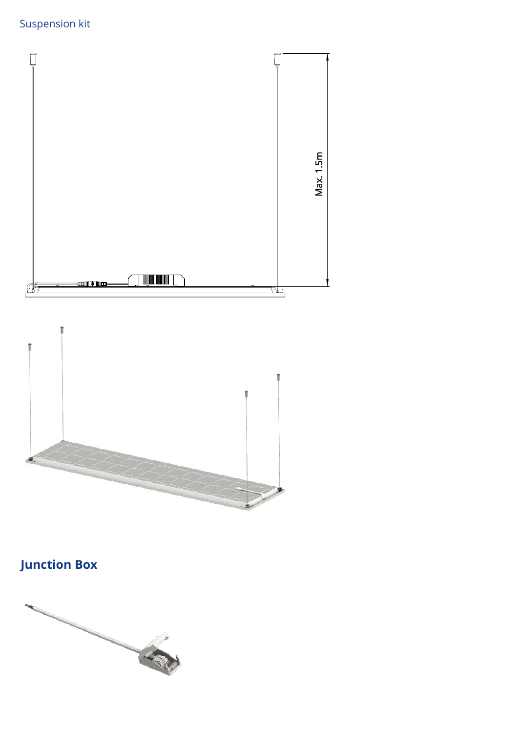



### **Junction Box**